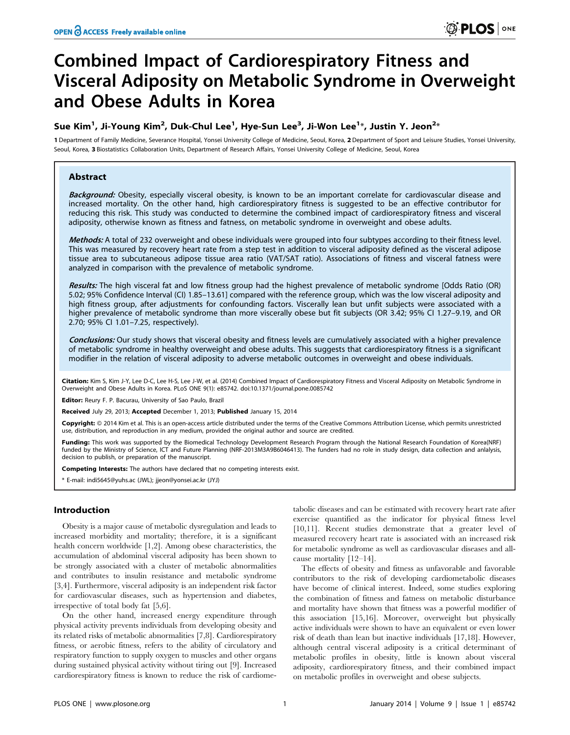# Combined Impact of Cardiorespiratory Fitness and Visceral Adiposity on Metabolic Syndrome in Overweight and Obese Adults in Korea

# Sue Kim<sup>1</sup>, Ji-Young Kim<sup>2</sup>, Duk-Chul Lee<sup>1</sup>, Hye-Sun Lee<sup>3</sup>, Ji-Won Lee<sup>1</sup>\*, Justin Y. Jeon<sup>2</sup>\*

1 Department of Family Medicine, Severance Hospital, Yonsei University College of Medicine, Seoul, Korea, 2 Department of Sport and Leisure Studies, Yonsei University, Seoul, Korea, 3 Biostatistics Collaboration Units, Department of Research Affairs, Yonsei University College of Medicine, Seoul, Korea

# Abstract

Background: Obesity, especially visceral obesity, is known to be an important correlate for cardiovascular disease and increased mortality. On the other hand, high cardiorespiratory fitness is suggested to be an effective contributor for reducing this risk. This study was conducted to determine the combined impact of cardiorespiratory fitness and visceral adiposity, otherwise known as fitness and fatness, on metabolic syndrome in overweight and obese adults.

Methods: A total of 232 overweight and obese individuals were grouped into four subtypes according to their fitness level. This was measured by recovery heart rate from a step test in addition to visceral adiposity defined as the visceral adipose tissue area to subcutaneous adipose tissue area ratio (VAT/SAT ratio). Associations of fitness and visceral fatness were analyzed in comparison with the prevalence of metabolic syndrome.

Results: The high visceral fat and low fitness group had the highest prevalence of metabolic syndrome [Odds Ratio (OR) 5.02; 95% Confidence Interval (CI) 1.85–13.61] compared with the reference group, which was the low visceral adiposity and high fitness group, after adjustments for confounding factors. Viscerally lean but unfit subjects were associated with a higher prevalence of metabolic syndrome than more viscerally obese but fit subjects (OR 3.42; 95% CI 1.27–9.19, and OR 2.70; 95% CI 1.01–7.25, respectively).

Conclusions: Our study shows that visceral obesity and fitness levels are cumulatively associated with a higher prevalence of metabolic syndrome in healthy overweight and obese adults. This suggests that cardiorespiratory fitness is a significant modifier in the relation of visceral adiposity to adverse metabolic outcomes in overweight and obese individuals.

Citation: Kim S, Kim J-Y, Lee D-C, Lee H-S, Lee J-W, et al. (2014) Combined Impact of Cardiorespiratory Fitness and Visceral Adiposity on Metabolic Syndrome in Overweight and Obese Adults in Korea. PLoS ONE 9(1): e85742. doi:10.1371/journal.pone.0085742

Editor: Reury F. P. Bacurau, University of Sao Paulo, Brazil

Received July 29, 2013; Accepted December 1, 2013; Published January 15, 2014

Copyright: © 2014 Kim et al. This is an open-access article distributed under the terms of the Creative Commons Attribution License, which permits unrestricted use, distribution, and reproduction in any medium, provided the original author and source are credited.

Funding: This work was supported by the Biomedical Technology Development Research Program through the National Research Foundation of Korea(NRF) funded by the Ministry of Science, ICT and Future Planning (NRF-2013M3A9B6046413). The funders had no role in study design, data collection and anlalysis, decision to publish, or preparation of the manuscript.

Competing Interests: The authors have declared that no competing interests exist.

\* E-mail: indi5645@yuhs.ac (JWL); jjeon@yonsei.ac.kr (JYJ)

# Introduction

Obesity is a major cause of metabolic dysregulation and leads to increased morbidity and mortality; therefore, it is a significant health concern worldwide [1,2]. Among obese characteristics, the accumulation of abdominal visceral adiposity has been shown to be strongly associated with a cluster of metabolic abnormalities and contributes to insulin resistance and metabolic syndrome [3,4]. Furthermore, visceral adiposity is an independent risk factor for cardiovascular diseases, such as hypertension and diabetes, irrespective of total body fat [5,6].

On the other hand, increased energy expenditure through physical activity prevents individuals from developing obesity and its related risks of metabolic abnormalities [7,8]. Cardiorespiratory fitness, or aerobic fitness, refers to the ability of circulatory and respiratory function to supply oxygen to muscles and other organs during sustained physical activity without tiring out [9]. Increased cardiorespiratory fitness is known to reduce the risk of cardiome-

tabolic diseases and can be estimated with recovery heart rate after exercise quantified as the indicator for physical fitness level [10,11]. Recent studies demonstrate that a greater level of measured recovery heart rate is associated with an increased risk for metabolic syndrome as well as cardiovascular diseases and allcause mortality [12–14].

The effects of obesity and fitness as unfavorable and favorable contributors to the risk of developing cardiometabolic diseases have become of clinical interest. Indeed, some studies exploring the combination of fitness and fatness on metabolic disturbance and mortality have shown that fitness was a powerful modifier of this association [15,16]. Moreover, overweight but physically active individuals were shown to have an equivalent or even lower risk of death than lean but inactive individuals [17,18]. However, although central visceral adiposity is a critical determinant of metabolic profiles in obesity, little is known about visceral adiposity, cardiorespiratory fitness, and their combined impact on metabolic profiles in overweight and obese subjects.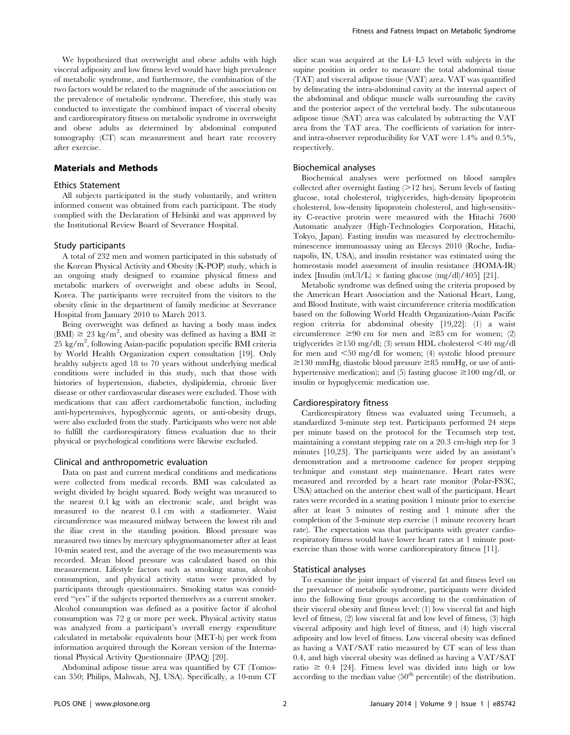We hypothesized that overweight and obese adults with high visceral adiposity and low fitness level would have high prevalence of metabolic syndrome, and furthermore, the combination of the two factors would be related to the magnitude of the association on the prevalence of metabolic syndrome. Therefore, this study was conducted to investigate the combined impact of visceral obesity and cardiorespiratory fitness on metabolic syndrome in overweight and obese adults as determined by abdominal computed tomography (CT) scan measurement and heart rate recovery after exercise.

# Materials and Methods

#### Ethics Statement

All subjects participated in the study voluntarily, and written informed consent was obtained from each participant. The study complied with the Declaration of Helsinki and was approved by the Institutional Review Board of Severance Hospital.

#### Study participants

A total of 232 men and women participated in this substudy of the Korean Physical Activity and Obesity (K-POP) study, which is an ongoing study designed to examine physical fitness and metabolic markers of overweight and obese adults in Seoul, Korea. The participants were recruited from the visitors to the obesity clinic in the department of family medicine at Severance Hospital from January 2010 to March 2013.

Being overweight was defined as having a body mass index  $(BMI) \geq 23 \text{ kg/m}^2$ , and obesity was defined as having a BMI  $\geq$ 25 kg/m<sup>2</sup>, following Asian-pacific population specific BMI criteria by World Health Organization expert consultation [19]. Only healthy subjects aged 18 to 70 years without underlying medical conditions were included in this study, such that those with histories of hypertension, diabetes, dyslipidemia, chronic liver disease or other cardiovascular diseases were excluded. Those with medications that can affect cardiometabolic function, including anti-hypertensives, hypoglycemic agents, or anti-obesity drugs, were also excluded from the study. Participants who were not able to fulfill the cardiorespiratory fitness evaluation due to their physical or psychological conditions were likewise excluded.

#### Clinical and anthropometric evaluation

Data on past and current medical conditions and medications were collected from medical records. BMI was calculated as weight divided by height squared. Body weight was measured to the nearest 0.1 kg with an electronic scale, and height was measured to the nearest 0.1 cm with a stadiometer. Waist circumference was measured midway between the lowest rib and the iliac crest in the standing position. Blood pressure was measured two times by mercury sphygmomanometer after at least 10-min seated rest, and the average of the two measurements was recorded. Mean blood pressure was calculated based on this measurement. Lifestyle factors such as smoking status, alcohol consumption, and physical activity status were provided by participants through questionnaires. Smoking status was considered ''yes'' if the subjects reported themselves as a current smoker. Alcohol consumption was defined as a positive factor if alcohol consumption was 72 g or more per week. Physical activity status was analyzed from a participant's overall energy expenditure calculated in metabolic equivalents hour (MET-h) per week from information acquired through the Korean version of the International Physical Activity Questionnaire (IPAQ) [20].

Abdominal adipose tissue area was quantified by CT (Tomoscan 350; Philips, Mahwah, NJ, USA). Specifically, a 10-mm CT

slice scan was acquired at the L4–L5 level with subjects in the supine position in order to measure the total abdominal tissue (TAT) and visceral adipose tissue (VAT) area. VAT was quantified by delineating the intra-abdominal cavity at the internal aspect of the abdominal and oblique muscle walls surrounding the cavity and the posterior aspect of the vertebral body. The subcutaneous adipose tissue (SAT) area was calculated by subtracting the VAT area from the TAT area. The coefficients of variation for interand intra-observer reproducibility for VAT were 1.4% and 0.5%, respectively.

#### Biochemical analyses

Biochemical analyses were performed on blood samples collected after overnight fasting  $(>12 \text{ hrs})$ . Serum levels of fasting glucose, total cholesterol, triglycerides, high-density lipoprotein cholesterol, low-density lipoprotein cholesterol, and high-sensitivity C-reactive protein were measured with the Hitachi 7600 Automatic analyzer (High-Technologies Corporation, Hitachi, Tokyo, Japan). Fasting insulin was measured by electrochemiluminescence immunoassay using an Elecsys 2010 (Roche, Indianapolis, IN, USA), and insulin resistance was estimated using the homeostasis model assessment of insulin resistance (HOMA-IR) index [Insulin (mUl/L)  $\times$  fasting glucose (mg/dl)/405] [21].

Metabolic syndrome was defined using the criteria proposed by the American Heart Association and the National Heart, Lung, and Blood Institute, with waist circumference criteria modification based on the following World Health Organization-Asian Pacific region criteria for abdominal obesity [19,22]: (1) a waist circumference  $\geq 90$  cm for men and  $\geq 85$  cm for women; (2) triglycerides  $\geq$ 150 mg/dl; (3) serum HDL cholesterol <40 mg/dl for men and  $\leq 50$  mg/dl for women; (4) systolic blood pressure  $\geq$ 130 mmHg, diastolic blood pressure  $\geq$ 85 mmHg, or use of antihypertensive medication); and (5) fasting glucose  $\geq$ 100 mg/dl, or insulin or hypoglycemic medication use.

# Cardiorespiratory fitness

Cardiorespiratory fitness was evaluated using Tecumseh, a standardized 3-minute step test. Participants performed 24 steps per minute based on the protocol for the Tecumseh step test, maintaining a constant stepping rate on a 20.3 cm-high step for 3 minutes [10,23]. The participants were aided by an assistant's demonstration and a metronome cadence for proper stepping technique and constant step maintenance. Heart rates were measured and recorded by a heart rate monitor (Polar-FS3C, USA) attached on the anterior chest wall of the participant. Heart rates were recorded in a seating position 1 minute prior to exercise after at least 5 minutes of resting and 1 minute after the completion of the 3-minute step exercise (1 minute recovery heart rate). The expectation was that participants with greater cardiorespiratory fitness would have lower heart rates at 1 minute postexercise than those with worse cardiorespiratory fitness [11].

#### Statistical analyses

To examine the joint impact of visceral fat and fitness level on the prevalence of metabolic syndrome, participants were divided into the following four groups according to the combination of their visceral obesity and fitness level: (1) low visceral fat and high level of fitness, (2) low visceral fat and low level of fitness, (3) high visceral adiposity and high level of fitness, and (4) high visceral adiposity and low level of fitness. Low visceral obesity was defined as having a VAT/SAT ratio measured by CT scan of less than 0.4, and high visceral obesity was defined as having a VAT/SAT ratio  $\geq 0.4$  [24]. Fitness level was divided into high or low according to the median value  $(50<sup>th</sup>$  percentile) of the distribution.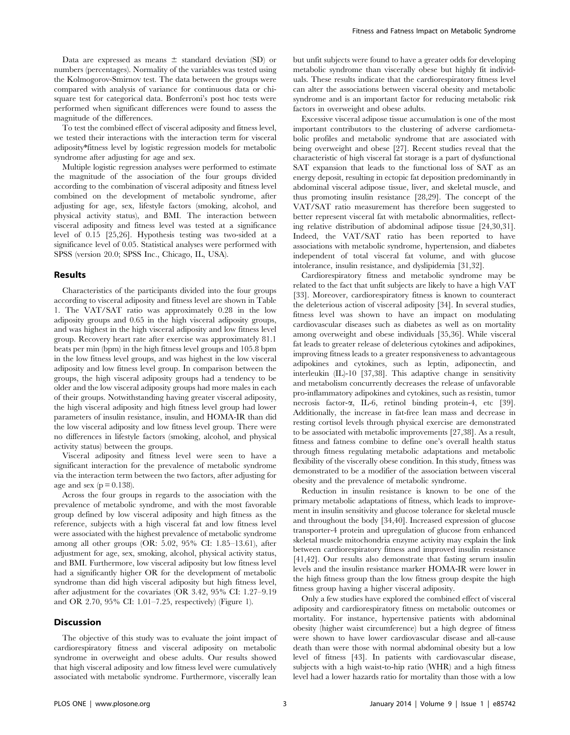Data are expressed as means  $\pm$  standard deviation (SD) or numbers (percentages). Normality of the variables was tested using the Kolmogorov-Smirnov test. The data between the groups were compared with analysis of variance for continuous data or chisquare test for categorical data. Bonferroni's post hoc tests were performed when significant differences were found to assess the magnitude of the differences.

To test the combined effect of visceral adiposity and fitness level, we tested their interactions with the interaction term for visceral adiposity\*fitness level by logistic regression models for metabolic syndrome after adjusting for age and sex.

Multiple logistic regression analyses were performed to estimate the magnitude of the association of the four groups divided according to the combination of visceral adiposity and fitness level combined on the development of metabolic syndrome, after adjusting for age, sex, lifestyle factors (smoking, alcohol, and physical activity status), and BMI. The interaction between visceral adiposity and fitness level was tested at a significance level of 0.15 [25,26]. Hypothesis testing was two-sided at a significance level of 0.05. Statistical analyses were performed with SPSS (version 20.0; SPSS Inc., Chicago, IL, USA).

### Results

Characteristics of the participants divided into the four groups according to visceral adiposity and fitness level are shown in Table 1. The VAT/SAT ratio was approximately 0.28 in the low adiposity groups and 0.65 in the high visceral adiposity groups, and was highest in the high visceral adiposity and low fitness level group. Recovery heart rate after exercise was approximately 81.1 beats per min (bpm) in the high fitness level groups and 105.8 bpm in the low fitness level groups, and was highest in the low visceral adiposity and low fitness level group. In comparison between the groups, the high visceral adiposity groups had a tendency to be older and the low visceral adiposity groups had more males in each of their groups. Notwithstanding having greater visceral adiposity, the high visceral adiposity and high fitness level group had lower parameters of insulin resistance, insulin, and HOMA-IR than did the low visceral adiposity and low fitness level group. There were no differences in lifestyle factors (smoking, alcohol, and physical activity status) between the groups.

Visceral adiposity and fitness level were seen to have a significant interaction for the prevalence of metabolic syndrome via the interaction term between the two factors, after adjusting for age and sex  $(p = 0.138)$ .

Across the four groups in regards to the association with the prevalence of metabolic syndrome, and with the most favorable group defined by low visceral adiposity and high fitness as the reference, subjects with a high visceral fat and low fitness level were associated with the highest prevalence of metabolic syndrome among all other groups (OR: 5.02, 95% CI: 1.85–13.61), after adjustment for age, sex, smoking, alcohol, physical activity status, and BMI. Furthermore, low visceral adiposity but low fitness level had a significantly higher OR for the development of metabolic syndrome than did high visceral adiposity but high fitness level, after adjustment for the covariates (OR 3.42, 95% CI: 1.27–9.19 and OR 2.70, 95% CI: 1.01–7.25, respectively) (Figure 1).

# Discussion

The objective of this study was to evaluate the joint impact of cardiorespiratory fitness and visceral adiposity on metabolic syndrome in overweight and obese adults. Our results showed that high visceral adiposity and low fitness level were cumulatively associated with metabolic syndrome. Furthermore, viscerally lean but unfit subjects were found to have a greater odds for developing metabolic syndrome than viscerally obese but highly fit individuals. These results indicate that the cardiorespiratory fitness level can alter the associations between visceral obesity and metabolic syndrome and is an important factor for reducing metabolic risk factors in overweight and obese adults.

Excessive visceral adipose tissue accumulation is one of the most important contributors to the clustering of adverse cardiometabolic profiles and metabolic syndrome that are associated with being overweight and obese [27]. Recent studies reveal that the characteristic of high visceral fat storage is a part of dysfunctional SAT expansion that leads to the functional loss of SAT as an energy deposit, resulting in ectopic fat deposition predominantly in abdominal visceral adipose tissue, liver, and skeletal muscle, and thus promoting insulin resistance [28,29]. The concept of the VAT/SAT ratio measurement has therefore been suggested to better represent visceral fat with metabolic abnormalities, reflecting relative distribution of abdominal adipose tissue [24,30,31]. Indeed, the VAT/SAT ratio has been reported to have associations with metabolic syndrome, hypertension, and diabetes independent of total visceral fat volume, and with glucose intolerance, insulin resistance, and dyslipidemia [31,32].

Cardiorespiratory fitness and metabolic syndrome may be related to the fact that unfit subjects are likely to have a high VAT [33]. Moreover, cardiorespiratory fitness is known to counteract the deleterious action of visceral adiposity [34]. In several studies, fitness level was shown to have an impact on modulating cardiovascular diseases such as diabetes as well as on mortality among overweight and obese individuals [35,36]. While visceral fat leads to greater release of deleterious cytokines and adipokines, improving fitness leads to a greater responsiveness to advantageous adipokines and cytokines, such as leptin, adiponectin, and interleukin (IL)-10 [37,38]. This adaptive change in sensitivity and metabolism concurrently decreases the release of unfavorable pro-inflammatory adipokines and cytokines, such as resistin, tumor necrosis factor- $\alpha$ , IL-6, retinol binding protein-4, etc [39]. Additionally, the increase in fat-free lean mass and decrease in resting cortisol levels through physical exercise are demonstrated to be associated with metabolic improvements [27,38]. As a result, fitness and fatness combine to define one's overall health status through fitness regulating metabolic adaptations and metabolic flexibility of the viscerally obese condition. In this study, fitness was demonstrated to be a modifier of the association between visceral obesity and the prevalence of metabolic syndrome.

Reduction in insulin resistance is known to be one of the primary metabolic adaptations of fitness, which leads to improvement in insulin sensitivity and glucose tolerance for skeletal muscle and throughout the body [34,40]. Increased expression of glucose transporter-4 protein and upregulation of glucose from enhanced skeletal muscle mitochondria enzyme activity may explain the link between cardiorespiratory fitness and improved insulin resistance [41,42]. Our results also demonstrate that fasting serum insulin levels and the insulin resistance marker HOMA-IR were lower in the high fitness group than the low fitness group despite the high fitness group having a higher visceral adiposity.

Only a few studies have explored the combined effect of visceral adiposity and cardiorespiratory fitness on metabolic outcomes or mortality. For instance, hypertensive patients with abdominal obesity (higher waist circumference) but a high degree of fitness were shown to have lower cardiovascular disease and all-cause death than were those with normal abdominal obesity but a low level of fitness [43]. In patients with cardiovascular disease, subjects with a high waist-to-hip ratio (WHR) and a high fitness level had a lower hazards ratio for mortality than those with a low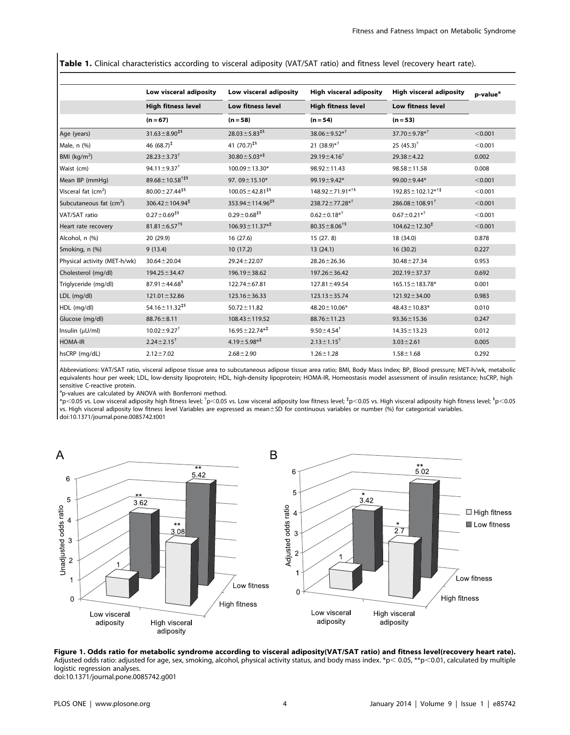Table 1. Clinical characteristics according to visceral adiposity (VAT/SAT ratio) and fitness level (recovery heart rate).

|                                     | Low visceral adiposity<br><b>High fitness level</b><br>$(n = 67)$ | Low visceral adiposity<br><b>Low fitness level</b><br>$(n = 58)$ | <b>High visceral adiposity</b><br><b>High fitness level</b><br>$(n = 54)$ | <b>High visceral adiposity</b><br><b>Low fitness level</b><br>$(n = 53)$ | p-value <sup>a</sup> |
|-------------------------------------|-------------------------------------------------------------------|------------------------------------------------------------------|---------------------------------------------------------------------------|--------------------------------------------------------------------------|----------------------|
|                                     |                                                                   |                                                                  |                                                                           |                                                                          |                      |
|                                     |                                                                   |                                                                  |                                                                           |                                                                          |                      |
| Age (years)                         | $31.63 \pm 8.90^{16}$                                             | $28.03 \pm 5.83^{\ddagger\frac{5}{3}}$                           | $38.06 \pm 9.52**$                                                        | 37.70 $\pm$ 9.78 <sup>*†</sup>                                           | < 0.001              |
| Male, n (%)                         | 46 $(68.7)^{\ddagger}$                                            | 41 $(70.7)^{\text{15}}$                                          | 21 $(38.9)*$ <sup>†</sup>                                                 | 25 $(45.3)^{\dagger}$                                                    | < 0.001              |
| BMI ( $kg/m2$ )                     | $28.23 \pm 3.73^{\dagger}$                                        | $30.80 \pm 5.03**^{\ddagger}$                                    | 29.19 $\pm$ 4.16 <sup>†</sup>                                             | $29.38 \pm 4.22$                                                         | 0.002                |
| Waist (cm)                          | 94.11 $\pm$ 9.37 <sup>†</sup>                                     | $100.09 \pm 13.30*$                                              | $98.92 \pm 11.43$                                                         | $98.58 \pm 11.58$                                                        | 0.008                |
| Mean BP (mmHq)                      | $89.68 \pm 10.58^{\dagger\ddagger\ddagger\S}$                     | 97.09±15.10*                                                     | 99.19±9.42*                                                               | 99.00 ± 9.44*                                                            | < 0.001              |
| Visceral fat (cm <sup>2</sup> )     | $80.00 \pm 27.44^{\text{+}6}$                                     | $100.05 \pm 42.81^{\text{15}}$                                   | $148.92 \pm 71.91^{*15}$                                                  | $192.85 \pm 102.12^{*1}$                                                 | < 0.001              |
| Subcutaneous fat (cm <sup>2</sup> ) | $306.42 \pm 104.94^{\ddagger}$                                    | $353.94 \pm 114.96^{\text{15}}$                                  | $238.72 \pm 77.28$ * <sup>†</sup>                                         | $286.08 \pm 108.91^{\dagger}$                                            | < 0.001              |
| VAT/SAT ratio                       | $0.27 \pm 0.69^{\text{15}}$                                       | $0.29 \pm 0.68^{\text{15}}$                                      | $0.62 \pm 0.18**$                                                         | $0.67 \pm 0.21$ * <sup>†</sup>                                           | < 0.001              |
| Heart rate recovery                 | $81.81 \pm 6.57^{\text{+}8}$                                      | $106.93 \pm 11.37^{* \ddagger}$                                  | $80.35 \pm 8.06^{\dagger 8}$                                              | $104.62 \pm 12.30^{\ddagger}$                                            | < 0.001              |
| Alcohol, n (%)                      | 20 (29.9)                                                         | 16 (27.6)                                                        | 15(27.8)                                                                  | 18 (34.0)                                                                | 0.878                |
| Smoking, n (%)                      | 9(13.4)                                                           | 10(17.2)                                                         | 13(24.1)                                                                  | 16(30.2)                                                                 | 0.227                |
| Physical activity (MET-h/wk)        | $30.64 \pm 20.04$                                                 | $29.24 \pm 22.07$                                                | $28.26 \pm 26.36$                                                         | $30.48 \pm 27.34$                                                        | 0.953                |
| Cholesterol (mg/dl)                 | $194.25 \pm 34.47$                                                | 196.19 ± 38.62                                                   | $197.26 \pm 36.42$                                                        | $202.19 \pm 37.37$                                                       | 0.692                |
| Triglyceride (mg/dl)                | $87.91 \pm 44.68$ <sup>§</sup>                                    | $122.74 \pm 67.81$                                               | $127.81 \pm 49.54$                                                        | 165.15 ± 183.78*                                                         | 0.001                |
| LDL (mg/dl)                         | $121.01 \pm 32.86$                                                | 123.16 ± 36.33                                                   | $123.13 \pm 35.74$                                                        | $121.92 \pm 34.00$                                                       | 0.983                |
| HDL (mg/dl)                         | 54.16 $\pm$ 11.32 <sup><math>\pm</math>§</sup>                    | $50.72 \pm 11.82$                                                | $48.20 \pm 10.06*$                                                        | $48.43 \pm 10.83*$                                                       | 0.010                |
| Glucose (mg/dl)                     | $88.76 \pm 8.11$                                                  | $108.43 \pm 119.52$                                              | 88.76±11.23                                                               | $93.36 \pm 15.36$                                                        | 0.247                |
| Insulin (µU/ml)                     | $10.02 \pm 9.27^{\dagger}$                                        | $16.95 \pm 22.74**^+$                                            | $9.50 \pm 4.54^{\dagger}$                                                 | $14.35 \pm 13.23$                                                        | 0.012                |
| <b>HOMA-IR</b>                      | $2.24 \pm 2.15^{\dagger}$                                         | $4.19 \pm 5.98**^{\ddagger}$                                     | $2.13 \pm 1.15^{\dagger}$                                                 | $3.03 \pm 2.61$                                                          | 0.005                |
| hsCRP (mg/dL)                       | $2.12 \pm 7.02$                                                   | $2.68 \pm 2.90$                                                  | $1.26 \pm 1.28$                                                           | $1.58 \pm 1.68$                                                          | 0.292                |

Abbreviations: VAT/SAT ratio, visceral adipose tissue area to subcutaneous adipose tissue area ratio; BMI, Body Mass Index; BP, Blood pressure; MET-h/wk, metabolic equivalents hour per week; LDL, low-density lipoprotein; HDL, high-density lipoprotein; HOMA-IR, Homeostasis model assessment of insulin resistance; hsCRP, high sensitive C-reactive protein.

<sup>a</sup>p-values are calculated by ANOVA with Bonferroni method.

 $^*$ p $<$ 0.05 vs. Low visceral adiposity high fitness level;  $^{\dagger}$ p $<$ 0.05 vs. Low visceral adiposity low fitness level;  $^{\dagger}$ p $<$ 0.05 vs. High visceral adiposity high fitness level;  $^{\dagger}$ p $<$ vs. High visceral adiposity low fitness level Variables are expressed as mean±SD for continuous variables or number (%) for categorical variables. doi:10.1371/journal.pone.0085742.t001



Figure 1. Odds ratio for metabolic syndrome according to visceral adiposity(VAT/SAT ratio) and fitness level(recovery heart rate). Adjusted odds ratio: adjusted for age, sex, smoking, alcohol, physical activity status, and body mass index. \*p< 0.05, \*\*p<0.01, calculated by multiple logistic regression analyses. doi:10.1371/journal.pone.0085742.g001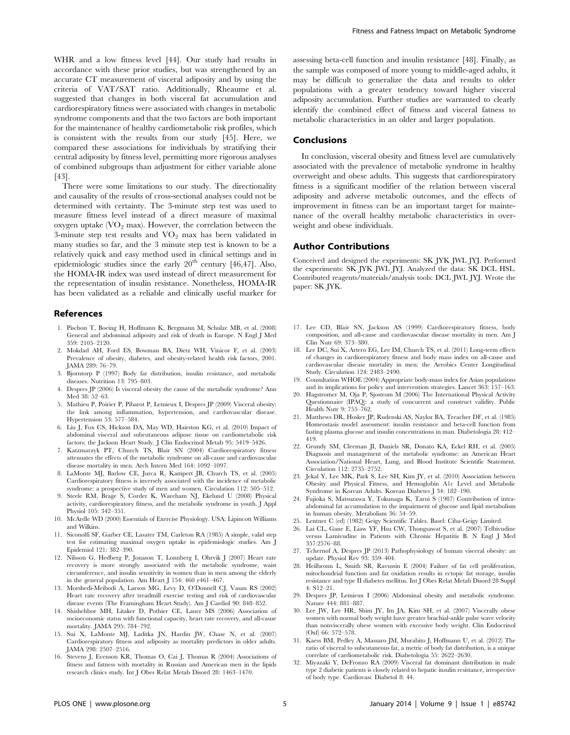WHR and a low fitness level [44]. Our study had results in accordance with these prior studies, but was strengthened by an accurate CT measurement of visceral adiposity and by using the criteria of VAT/SAT ratio. Additionally, Rheaume et al. suggested that changes in both visceral fat accumulation and cardiorespiratory fitness were associated with changes in metabolic syndrome components and that the two factors are both important for the maintenance of healthy cardiometabolic risk profiles, which is consistent with the results from our study [45]. Here, we compared these associations for individuals by stratifying their central adiposity by fitness level, permitting more rigorous analyses of combined subgroups than adjustment for either variable alone [43].

There were some limitations to our study. The directionality and causality of the results of cross-sectional analyses could not be determined with certainty. The 3-minute step test was used to measure fitness level instead of a direct measure of maximal oxygen uptake  $\langle VO_2 \rangle$  max). However, the correlation between the 3-minute step test results and  $VO<sub>2</sub>$  max has been validated in many studies so far, and the 3 minute step test is known to be a relatively quick and easy method used in clinical settings and in epidemiologic studies since the early  $20<sup>th</sup>$  century [46,47]. Also, the HOMA-IR index was used instead of direct measurement for the representation of insulin resistance. Nonetheless, HOMA-IR has been validated as a reliable and clinically useful marker for

#### References

- 1. Pischon T, Boeing H, Hoffmann K, Bergmann M, Schulze MB, et al. (2008) General and abdominal adiposity and risk of death in Europe. N Engl J Med 359: 2105–2120.
- 2. Mokdad AH, Ford ES, Bowman BA, Dietz WH, Vinicor F, et al. (2003) Prevalence of obesity, diabetes, and obesity-related health risk factors, 2001. JAMA 289: 76–79.
- 3. Bjorntorp P (1997) Body fat distribution, insulin resistance, and metabolic diseases. Nutrition 13: 795–803.
- 4. Despres JP (2006) Is visceral obesity the cause of the metabolic syndrome? Ann Med 38: 52–63.
- 5. Mathieu P, Poirier P, Pibarot P, Lemieux I, Despres JP (2009) Visceral obesity: the link among inflammation, hypertension, and cardiovascular disease. Hypertension 53: 577–584.
- 6. Liu J, Fox CS, Hickson DA, May WD, Hairston KG, et al. (2010) Impact of abdominal visceral and subcutaneous adipose tissue on cardiometabolic risk factors: the Jackson Heart Study. J Clin Endocrinol Metab 95: 5419–5426.
- 7. Katzmarzyk PT, Church TS, Blair SN (2004) Cardiorespiratory fitness attenuates the effects of the metabolic syndrome on all-cause and cardiovascular disease mortality in men. Arch Intern Med 164: 1092–1097.
- 8. LaMonte MJ, Barlow CE, Jurca R, Kampert JB, Church TS, et al. (2005) Cardiorespiratory fitness is inversely associated with the incidence of metabolic syndrome: a prospective study of men and women. Circulation 112: 505–512.
- 9. Steele RM, Brage S, Corder K, Wareham NJ, Ekelund U (2008) Physical activity, cardiorespiratory fitness, and the metabolic syndrome in youth. J Appl Physiol 105: 342–351.
- 10. McArdle WD (2000) Essentials of Exercise Physiology. USA: Lipincott Williams and Wilkins.
- 11. Siconolfi SF, Garber CE, Lasater TM, Carleton RA (1985) A simple, valid step test for estimating maximal oxygen uptake in epidemiologic studies. Am J Epidemiol 121: 382–390.
- 12. Nilsson G, Hedberg P, Jonason T, Lonnberg I, Ohrvik J (2007) Heart rate recovery is more strongly associated with the metabolic syndrome, waist circumference, and insulin sensitivity in women than in men among the elderly in the general population. Am Heart J 154: 460 e461–467.
- 13. Morshedi-Meibodi A, Larson MG, Levy D, O'Donnell CJ, Vasan RS (2002) Heart rate recovery after treadmill exercise testing and risk of cardiovascular disease events (The Framingham Heart Study). Am J Cardiol 90: 848–852.
- 14. Shishehbor MH, Litaker D, Pothier CE, Lauer MS (2006) Association of socioeconomic status with functional capacity, heart rate recovery, and all-cause mortality. JAMA 295: 784–792.
- 15. Sui X, LaMonte MJ, Laditka JN, Hardin JW, Chase N, et al. (2007) Cardiorespiratory fitness and adiposity as mortality predictors in older adults. JAMA 298: 2507–2516.
- 16. Stevens J, Evenson KR, Thomas O, Cai J, Thomas R (2004) Associations of fitness and fatness with mortality in Russian and American men in the lipids research clinics study. Int J Obes Relat Metab Disord 28: 1463–1470.

assessing beta-cell function and insulin resistance [48]. Finally, as the sample was composed of more young to middle-aged adults, it may be difficult to generalize the data and results to older populations with a greater tendency toward higher visceral adiposity accumulation. Further studies are warranted to clearly identify the combined effect of fitness and visceral fatness to metabolic characteristics in an older and larger population.

#### Conclusions

In conclusion, visceral obesity and fitness level are cumulatively associated with the prevalence of metabolic syndrome in healthy overweight and obese adults. This suggests that cardiorespiratory fitness is a significant modifier of the relation between visceral adiposity and adverse metabolic outcomes, and the effects of improvement in fitness can be an important target for maintenance of the overall healthy metabolic characteristics in overweight and obese individuals.

#### Author Contributions

Conceived and designed the experiments: SK JYK JWL JYJ. Performed the experiments: SK JYK JWL JYJ. Analyzed the data: SK DCL HSL. Contributed reagents/materials/analysis tools: DCL JWL JYJ. Wrote the paper: SK JYK.

- 17. Lee CD, Blair SN, Jackson AS (1999) Cardiorespiratory fitness, body composition, and all-cause and cardiovascular disease mortality in men. Am J Clin Nutr 69: 373–380.
- 18. Lee DC, Sui X, Artero EG, Lee IM, Church TS, et al. (2011) Long-term effects of changes in cardiorespiratory fitness and body mass index on all-cause and cardiovascular disease mortality in men: the Aerobics Center Longitudinal Study. Circulation 124: 2483–2490.
- 19. Consultation WHOE (2004) Appropriate body-mass index for Asian populations and its implications for policy and intervention strategies. Lancet 363: 157–163.
- 20. Hagstromer M, Oja P, Sjostrom M (2006) The International Physical Activity Questionnaire (IPAQ): a study of concurrent and construct validity. Public Health Nutr 9: 755-762.
- 21. Matthews DR, Hosker JP, Rudenski AS, Naylor BA, Treacher DF, et al. (1985) Homeostasis model assessment: insulin resistance and beta-cell function from fasting plasma glucose and insulin concentrations in man. Diabetologia 28: 412– 419.
- 22. Grundy SM, Cleeman JI, Daniels SR, Donato KA, Eckel RH, et al. (2005) Diagnosis and management of the metabolic syndrome: an American Heart Association/National Heart, Lung, and Blood Institute Scientific Statement. Circulation 112: 2735–2752.
- 23. Jekal Y, Lee MK, Park S, Lee SH, Kim JY, et al. (2010) Association between Obesity and Physical Fitness, and Hemoglobin A1c Level and Metabolic Syndrome in Korean Adults. Korean Diabetes J 34: 182–190.
- 24. Fujioka S, Matsuzawa Y, Tokunaga K, Tarui S (1987) Contribution of intraabdominal fat accumulation to the impairment of glucose and lipid metabolism in human obesity. Metabolism 36: 54–59.
- 25. Lentner C (ed) (1982) Geigy Scientific Tables. Basel: Ciba-Geigy Limited.
- 26. Lai CL, Gane E, Liaw YF, Hsu CW, Thongsawat S, et al. (2007) Telbivudine versus Lamivudine in Patients with Chronic Hepatitis B. N Engl J Med 357:2576–88.
- 27. Tchernof A, Despres JP (2013) Pathophysiology of human visceral obesity: an update. Physiol Rev 93: 359–404.
- 28. Heilbronn L, Smith SR, Ravussin E (2004) Failure of fat cell proliferation, mitochondrial function and fat oxidation results in ectopic fat storage, insulin resistance and type II diabetes mellitus. Int J Obes Relat Metab Disord 28 Suppl 4: S12–21.
- 29. Despres JP, Lemieux I (2006) Abdominal obesity and metabolic syndrome. Nature 444: 881–887.
- 30. Lee JW, Lee HR, Shim JY, Im JA, Kim SH, et al. (2007) Viscerally obese women with normal body weight have greater brachial-ankle pulse wave velocity than nonviscerally obese women with excessive body weight. Clin Endocrinol (Oxf) 66: 572–578.
- 31. Kaess BM, Pedley A, Massaro JM, Murabito J, Hoffmann U, et al. (2012) The ratio of visceral to subcutaneous fat, a metric of body fat distribution, is a unique correlate of cardiometabolic risk. Diabetologia 55: 2622–2630.
- 32. Miyazaki Y, DeFronzo RA (2009) Visceral fat dominant distribution in male type 2 diabetic patients is closely related to hepatic insulin resistance, irrespective of body type. Cardiovasc Diabetol 8: 44.